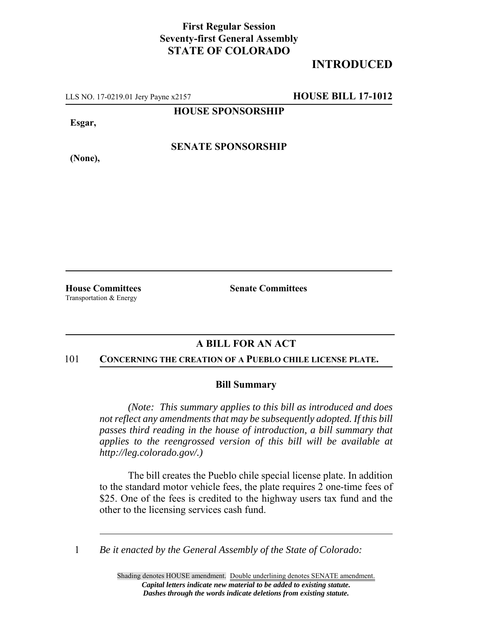## **First Regular Session Seventy-first General Assembly STATE OF COLORADO**

# **INTRODUCED**

LLS NO. 17-0219.01 Jery Payne x2157 **HOUSE BILL 17-1012**

**HOUSE SPONSORSHIP**

**Esgar,**

**(None),**

**SENATE SPONSORSHIP**

Transportation & Energy

**House Committees Senate Committees**

### **A BILL FOR AN ACT**

#### 101 **CONCERNING THE CREATION OF A PUEBLO CHILE LICENSE PLATE.**

### **Bill Summary**

*(Note: This summary applies to this bill as introduced and does not reflect any amendments that may be subsequently adopted. If this bill passes third reading in the house of introduction, a bill summary that applies to the reengrossed version of this bill will be available at http://leg.colorado.gov/.)*

The bill creates the Pueblo chile special license plate. In addition to the standard motor vehicle fees, the plate requires 2 one-time fees of \$25. One of the fees is credited to the highway users tax fund and the other to the licensing services cash fund.

1 *Be it enacted by the General Assembly of the State of Colorado:*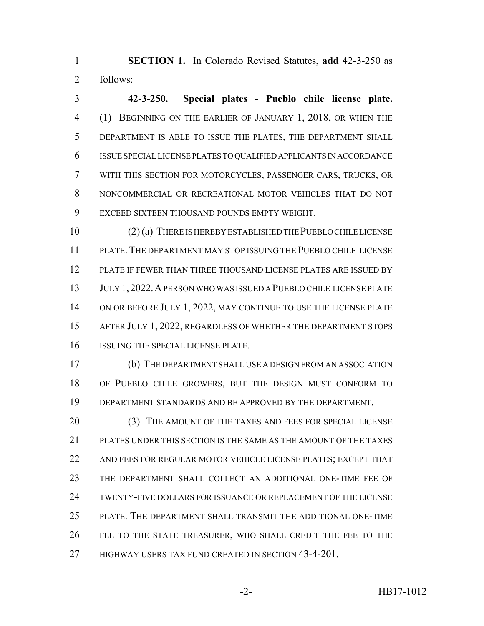**SECTION 1.** In Colorado Revised Statutes, **add** 42-3-250 as follows:

 **42-3-250. Special plates - Pueblo chile license plate.** (1) BEGINNING ON THE EARLIER OF JANUARY 1, 2018, OR WHEN THE DEPARTMENT IS ABLE TO ISSUE THE PLATES, THE DEPARTMENT SHALL ISSUE SPECIAL LICENSE PLATES TO QUALIFIED APPLICANTS IN ACCORDANCE WITH THIS SECTION FOR MOTORCYCLES, PASSENGER CARS, TRUCKS, OR NONCOMMERCIAL OR RECREATIONAL MOTOR VEHICLES THAT DO NOT EXCEED SIXTEEN THOUSAND POUNDS EMPTY WEIGHT.

 (2) (a) THERE IS HEREBY ESTABLISHED THE PUEBLO CHILE LICENSE PLATE. THE DEPARTMENT MAY STOP ISSUING THE PUEBLO CHILE LICENSE PLATE IF FEWER THAN THREE THOUSAND LICENSE PLATES ARE ISSUED BY JULY 1,2022.A PERSON WHO WAS ISSUED A PUEBLO CHILE LICENSE PLATE 14 ON OR BEFORE JULY 1, 2022, MAY CONTINUE TO USE THE LICENSE PLATE AFTER JULY 1, 2022, REGARDLESS OF WHETHER THE DEPARTMENT STOPS ISSUING THE SPECIAL LICENSE PLATE.

 (b) THE DEPARTMENT SHALL USE A DESIGN FROM AN ASSOCIATION OF PUEBLO CHILE GROWERS, BUT THE DESIGN MUST CONFORM TO DEPARTMENT STANDARDS AND BE APPROVED BY THE DEPARTMENT.

 (3) THE AMOUNT OF THE TAXES AND FEES FOR SPECIAL LICENSE PLATES UNDER THIS SECTION IS THE SAME AS THE AMOUNT OF THE TAXES AND FEES FOR REGULAR MOTOR VEHICLE LICENSE PLATES; EXCEPT THAT THE DEPARTMENT SHALL COLLECT AN ADDITIONAL ONE-TIME FEE OF TWENTY-FIVE DOLLARS FOR ISSUANCE OR REPLACEMENT OF THE LICENSE PLATE. THE DEPARTMENT SHALL TRANSMIT THE ADDITIONAL ONE-TIME FEE TO THE STATE TREASURER, WHO SHALL CREDIT THE FEE TO THE 27 HIGHWAY USERS TAX FUND CREATED IN SECTION 43-4-201.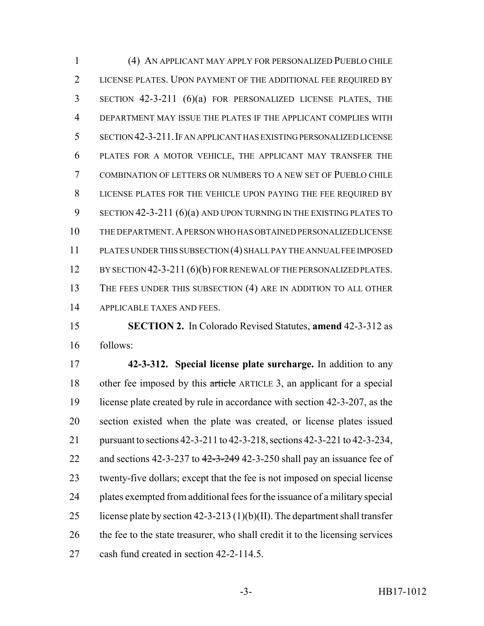(4) AN APPLICANT MAY APPLY FOR PERSONALIZED PUEBLO CHILE LICENSE PLATES. UPON PAYMENT OF THE ADDITIONAL FEE REQUIRED BY SECTION 42-3-211 (6)(a) FOR PERSONALIZED LICENSE PLATES, THE DEPARTMENT MAY ISSUE THE PLATES IF THE APPLICANT COMPLIES WITH SECTION 42-3-211.IF AN APPLICANT HAS EXISTING PERSONALIZED LICENSE PLATES FOR A MOTOR VEHICLE, THE APPLICANT MAY TRANSFER THE COMBINATION OF LETTERS OR NUMBERS TO A NEW SET OF PUEBLO CHILE LICENSE PLATES FOR THE VEHICLE UPON PAYING THE FEE REQUIRED BY SECTION 42-3-211 (6)(a) AND UPON TURNING IN THE EXISTING PLATES TO THE DEPARTMENT.A PERSON WHO HAS OBTAINED PERSONALIZED LICENSE PLATES UNDER THIS SUBSECTION (4) SHALL PAY THE ANNUAL FEE IMPOSED 12 BY SECTION 42-3-211 (6)(b) FOR RENEWAL OF THE PERSONALIZED PLATES. THE FEES UNDER THIS SUBSECTION (4) ARE IN ADDITION TO ALL OTHER APPLICABLE TAXES AND FEES.

 **SECTION 2.** In Colorado Revised Statutes, **amend** 42-3-312 as follows:

 **42-3-312. Special license plate surcharge.** In addition to any other fee imposed by this article ARTICLE 3, an applicant for a special license plate created by rule in accordance with section 42-3-207, as the section existed when the plate was created, or license plates issued pursuant to sections 42-3-211 to 42-3-218, sections 42-3-221 to 42-3-234, 22 and sections  $42-3-237$  to  $42-3-249$   $42-3-250$  shall pay an issuance fee of twenty-five dollars; except that the fee is not imposed on special license plates exempted from additional fees for the issuance of a military special 25 license plate by section 42-3-213 (1)(b)(II). The department shall transfer the fee to the state treasurer, who shall credit it to the licensing services cash fund created in section 42-2-114.5.